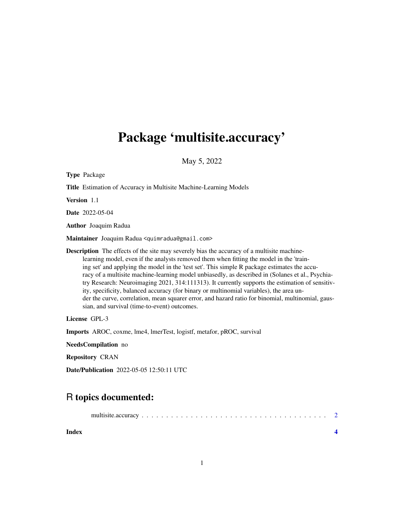## Package 'multisite.accuracy'

May 5, 2022

| <b>Type Package</b>                                                                                                                                                                                                                                                                                                                                                                                                                                                                                                                                                                                                                                                                                                                                 |  |  |  |
|-----------------------------------------------------------------------------------------------------------------------------------------------------------------------------------------------------------------------------------------------------------------------------------------------------------------------------------------------------------------------------------------------------------------------------------------------------------------------------------------------------------------------------------------------------------------------------------------------------------------------------------------------------------------------------------------------------------------------------------------------------|--|--|--|
| Title Estimation of Accuracy in Multisite Machine-Learning Models                                                                                                                                                                                                                                                                                                                                                                                                                                                                                                                                                                                                                                                                                   |  |  |  |
| <b>Version</b> 1.1                                                                                                                                                                                                                                                                                                                                                                                                                                                                                                                                                                                                                                                                                                                                  |  |  |  |
| <b>Date</b> 2022-05-04                                                                                                                                                                                                                                                                                                                                                                                                                                                                                                                                                                                                                                                                                                                              |  |  |  |
| <b>Author</b> Joaquim Radua                                                                                                                                                                                                                                                                                                                                                                                                                                                                                                                                                                                                                                                                                                                         |  |  |  |
| Maintainer Joaquim Radua <quimradua@gmail.com></quimradua@gmail.com>                                                                                                                                                                                                                                                                                                                                                                                                                                                                                                                                                                                                                                                                                |  |  |  |
| <b>Description</b> The effects of the site may severely bias the accuracy of a multisite machine-<br>learning model, even if the analysts removed them when fitting the model in the 'train-<br>ing set' and applying the model in the 'test set'. This simple R package estimates the accu-<br>racy of a multisite machine-learning model unbiasedly, as described in (Solanes et al., Psychia-<br>try Research: Neuroimaging 2021, 314:111313). It currently supports the estimation of sensitiv-<br>ity, specificity, balanced accuracy (for binary or multinomial variables), the area un-<br>der the curve, correlation, mean squarer error, and hazard ratio for binomial, multinomial, gaus-<br>sian, and survival (time-to-event) outcomes. |  |  |  |
| License GPL-3                                                                                                                                                                                                                                                                                                                                                                                                                                                                                                                                                                                                                                                                                                                                       |  |  |  |
| Imports AROC, coxme, lme4, lmerTest, logistf, metafor, pROC, survival                                                                                                                                                                                                                                                                                                                                                                                                                                                                                                                                                                                                                                                                               |  |  |  |
| NeedsCompilation no                                                                                                                                                                                                                                                                                                                                                                                                                                                                                                                                                                                                                                                                                                                                 |  |  |  |
| <b>Repository CRAN</b>                                                                                                                                                                                                                                                                                                                                                                                                                                                                                                                                                                                                                                                                                                                              |  |  |  |
| <b>Date/Publication</b> 2022-05-05 12:50:11 UTC                                                                                                                                                                                                                                                                                                                                                                                                                                                                                                                                                                                                                                                                                                     |  |  |  |

### R topics documented:

| Index |  |
|-------|--|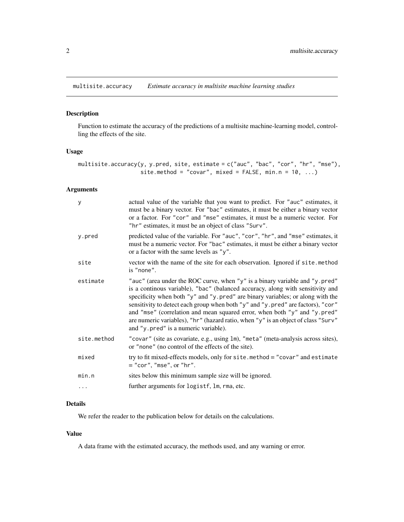<span id="page-1-0"></span>multisite.accuracy *Estimate accuracy in multisite machine learning studies*

#### Description

Function to estimate the accuracy of the predictions of a multisite machine-learning model, controlling the effects of the site.

#### Usage

```
multisite.accuracy(y, y.pred, site, estimate = c("auc", "bac", "cor", "hr", "mse"),
                  site.method = "covar", mixed = FALSE, min.n = 10, ...)
```
#### Arguments

| y           | actual value of the variable that you want to predict. For "auc" estimates, it<br>must be a binary vector. For "bac" estimates, it must be either a binary vector<br>or a factor. For "cor" and "mse" estimates, it must be a numeric vector. For<br>"hr" estimates, it must be an object of class "Surv".                                                                                                                                                                                                                                   |
|-------------|----------------------------------------------------------------------------------------------------------------------------------------------------------------------------------------------------------------------------------------------------------------------------------------------------------------------------------------------------------------------------------------------------------------------------------------------------------------------------------------------------------------------------------------------|
| y.pred      | predicted value of the variable. For "auc", "cor", "hr", and "mse" estimates, it<br>must be a numeric vector. For "bac" estimates, it must be either a binary vector<br>or a factor with the same levels as "y".                                                                                                                                                                                                                                                                                                                             |
| site        | vector with the name of the site for each observation. Ignored if site.method<br>is "none".                                                                                                                                                                                                                                                                                                                                                                                                                                                  |
| estimate    | "auc" (area under the ROC curve, when "y" is a binary variable and "y.pred"<br>is a continous variable), "bac" (balanced accuracy, along with sensitivity and<br>specificity when both "y" and "y.pred" are binary variables; or along with the<br>sensitivity to detect each group when both "y" and "y.pred" are factors), "cor"<br>and "mse" (correlation and mean squared error, when both "y" and "y.pred"<br>are numeric variables), "hr" (hazard ratio, when "y" is an object of class "Surv"<br>and "y pred" is a numeric variable). |
| site.method | "covar" (site as covariate, e.g., using 1m), "meta" (meta-analysis across sites),<br>or "none" (no control of the effects of the site).                                                                                                                                                                                                                                                                                                                                                                                                      |
| mixed       | try to fit mixed-effects models, only for site. method = "covar" and estimate<br>$=$ "cor", "mse", or "hr".                                                                                                                                                                                                                                                                                                                                                                                                                                  |
| min.n       | sites below this minimum sample size will be ignored.                                                                                                                                                                                                                                                                                                                                                                                                                                                                                        |
| $\cdots$    | further arguments for logistf, lm, rma, etc.                                                                                                                                                                                                                                                                                                                                                                                                                                                                                                 |

#### Details

We refer the reader to the publication below for details on the calculations.

#### Value

A data frame with the estimated accuracy, the methods used, and any warning or error.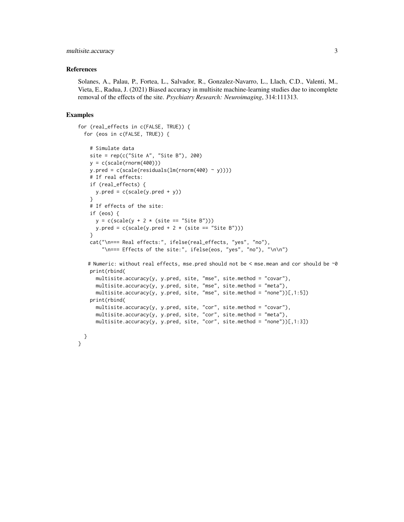#### multisite.accuracy 3

#### References

Solanes, A., Palau, P., Fortea, L., Salvador, R., Gonzalez-Navarro, L., Llach, C.D., Valenti, M., Vieta, E., Radua, J. (2021) Biased accuracy in multisite machine-learning studies due to incomplete removal of the effects of the site. *Psychiatry Research: Neuroimaging*, 314:111313.

#### Examples

}

```
for (real_effects in c(FALSE, TRUE)) {
for (eos in c(FALSE, TRUE)) {
  # Simulate data
  site = rep(c("Site A", "Site B"), 200)
  y = c(scale(rnorm(400)))y.pred = c(scale(residuals(Im(rnorm(400) ~ y)))# If real effects:
  if (real_effects) {
    y.pred = c(scale(y.pred + y))
   }
  # If effects of the site:
  if (eos) {
    y = c(scale(y + 2 * (site == "Site B")))y.pred = c(scale(y.pred + 2 * (site == "Site B")))}
   cat("\n=== Real effects:", ifelse(real_effects, "yes", "no"),
       "\n=== Effects of the site:", ifelse(eos, "yes", "no"), "\n\n")
  # Numeric: without real effects, mse.pred should not be < mse.mean and cor should be ~0
  print(rbind(
    multisite.accuracy(y, y.pred, site, "mse", site.method = "covar"),
    multisite.accuracy(y, y.pred, site, "mse", site.method = "meta"),
    multisite.accuracy(y, y.pred, site, "mse", site.method = "none"))[,1:5])
   print(rbind(
    multisite.accuracy(y, y.pred, site, "cor", site.method = "covar"),
    multisite.accuracy(y, y.pred, site, "cor", site.method = "meta"),
    multisite.accuracy(y, y.pred, site, "cor", site.method = "none"))[,1:3])
}
```